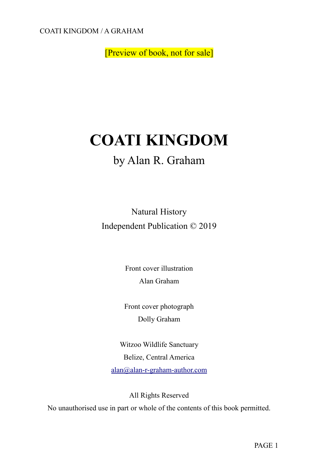[Preview of book, not for sale]

# **COATI KINGDOM**

### by Alan R. Graham

Natural History Independent Publication © 2019

> Front cover illustration Alan Graham

Front cover photograph Dolly Graham

Witzoo Wildlife Sanctuary Belize, Central America [alan@alan-r-graham-author.com](mailto:alan@alan-r-graham-author.com)

All Rights Reserved No unauthorised use in part or whole of the contents of this book permitted.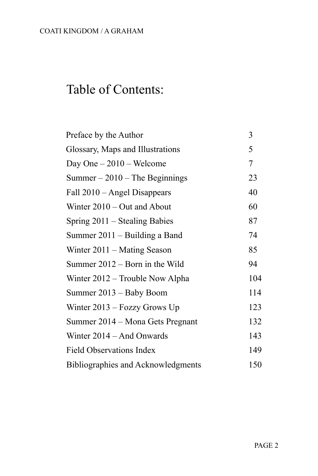## Table of Contents:

| Preface by the Author              | 3   |
|------------------------------------|-----|
| Glossary, Maps and Illustrations   | 5   |
| Day One $-2010$ – Welcome          | 7   |
| $Summer - 2010 - The Beginning$    | 23  |
| Fall 2010 – Angel Disappears       | 40  |
| Winter $2010 - Out$ and About      | 60  |
| Spring $2011$ – Stealing Babies    | 87  |
| Summer $2011 -$ Building a Band    | 74  |
| Winter $2011 -$ Mating Season      | 85  |
| Summer 2012 – Born in the Wild     | 94  |
| Winter 2012 – Trouble Now Alpha    | 104 |
| Summer 2013 – Baby Boom            | 114 |
| Winter $2013 -$ Fozzy Grows Up     | 123 |
| Summer 2014 – Mona Gets Pregnant   | 132 |
| Winter $2014 - And$ Onwards        | 143 |
| <b>Field Observations Index</b>    | 149 |
| Bibliographies and Acknowledgments | 150 |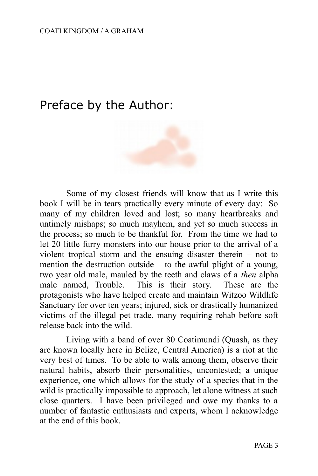### Preface by the Author:



Some of my closest friends will know that as I write this book I will be in tears practically every minute of every day: So many of my children loved and lost; so many heartbreaks and untimely mishaps; so much mayhem, and yet so much success in the process; so much to be thankful for. From the time we had to let 20 little furry monsters into our house prior to the arrival of a violent tropical storm and the ensuing disaster therein – not to mention the destruction outside – to the awful plight of a young, two year old male, mauled by the teeth and claws of a *then* alpha male named, Trouble. This is their story. These are the protagonists who have helped create and maintain Witzoo Wildlife Sanctuary for over ten years; injured, sick or drastically humanized victims of the illegal pet trade, many requiring rehab before soft release back into the wild.

Living with a band of over 80 Coatimundi (Quash, as they are known locally here in Belize, Central America) is a riot at the very best of times. To be able to walk among them, observe their natural habits, absorb their personalities, uncontested; a unique experience, one which allows for the study of a species that in the wild is practically impossible to approach, let alone witness at such close quarters. I have been privileged and owe my thanks to a number of fantastic enthusiasts and experts, whom I acknowledge at the end of this book.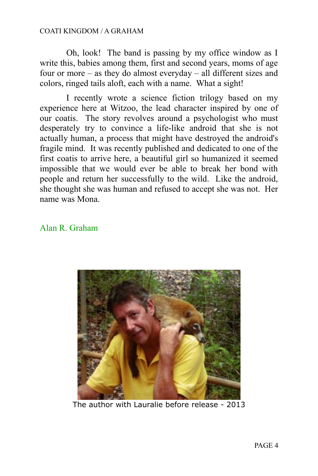Oh, look! The band is passing by my office window as I write this, babies among them, first and second years, moms of age four or more – as they do almost everyday – all different sizes and colors, ringed tails aloft, each with a name. What a sight!

I recently wrote a science fiction trilogy based on my experience here at Witzoo, the lead character inspired by one of our coatis. The story revolves around a psychologist who must desperately try to convince a life-like android that she is not actually human, a process that might have destroyed the android's fragile mind. It was recently published and dedicated to one of the first coatis to arrive here, a beautiful girl so humanized it seemed impossible that we would ever be able to break her bond with people and return her successfully to the wild. Like the android, she thought she was human and refused to accept she was not. Her name was Mona.

#### Alan R. Graham



The author with Lauralie before release - 2013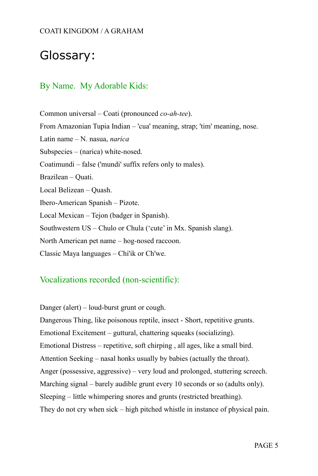### Glossary:

#### By Name. My Adorable Kids:

Common universal – Coati (pronounced *co-ah-tee*). From Amazonian Tupia Indian – 'cua' meaning, strap; 'tim' meaning, nose. Latin name – N. nasua, *narica* Subspecies – (narica) white-nosed. Coatimundi – false ('mundi' suffix refers only to males). Brazilean – Quati. Local Belizean – Quash. Ibero-American Spanish – Pizote. Local Mexican – Tejon (badger in Spanish). Southwestern US – Chulo or Chula ('cute' in Mx. Spanish slang). North American pet name – hog-nosed raccoon. Classic Maya languages – Chi'ik or Ch'we.

#### Vocalizations recorded (non-scientific):

Danger (alert) – loud-burst grunt or cough. Dangerous Thing, like poisonous reptile, insect - Short, repetitive grunts. Emotional Excitement – guttural, chattering squeaks (socializing). Emotional Distress – repetitive, soft chirping , all ages, like a small bird. Attention Seeking – nasal honks usually by babies (actually the throat). Anger (possessive, aggressive) – very loud and prolonged, stuttering screech. Marching signal – barely audible grunt every 10 seconds or so (adults only). Sleeping – little whimpering snores and grunts (restricted breathing). They do not cry when sick – high pitched whistle in instance of physical pain.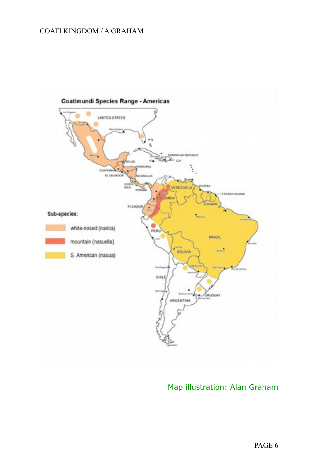

#### Map illustration: Alan Graham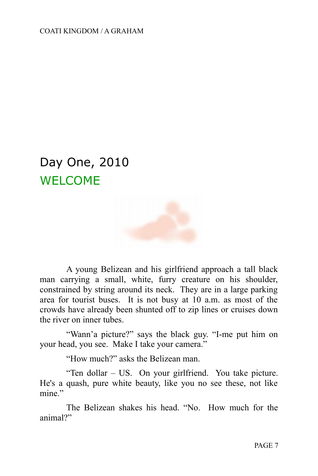## Day One, 2010 WELCOME



A young Belizean and his girlfriend approach a tall black man carrying a small, white, furry creature on his shoulder, constrained by string around its neck. They are in a large parking area for tourist buses. It is not busy at 10 a.m. as most of the crowds have already been shunted off to zip lines or cruises down the river on inner tubes.

"Wann'a picture?" says the black guy. "I-me put him on your head, you see. Make I take your camera."

"How much?" asks the Belizean man.

"Ten dollar – US. On your girlfriend. You take picture. He's a quash, pure white beauty, like you no see these, not like mine"

The Belizean shakes his head. "No. How much for the animal?"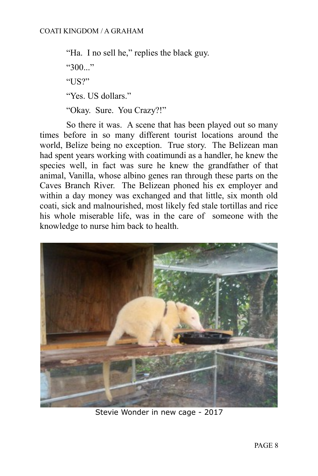"Ha. I no sell he," replies the black guy.  $"300."$ " $US?$ " "Yes. US dollars." "Okay. Sure. You Crazy?!"

So there it was. A scene that has been played out so many times before in so many different tourist locations around the world, Belize being no exception. True story. The Belizean man had spent years working with coatimundi as a handler, he knew the species well, in fact was sure he knew the grandfather of that animal, Vanilla, whose albino genes ran through these parts on the Caves Branch River. The Belizean phoned his ex employer and within a day money was exchanged and that little, six month old coati, sick and malnourished, most likely fed stale tortillas and rice his whole miserable life, was in the care of someone with the knowledge to nurse him back to health.



Stevie Wonder in new cage - 2017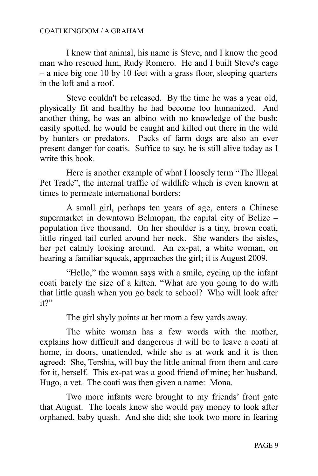I know that animal, his name is Steve, and I know the good man who rescued him, Rudy Romero. He and I built Steve's cage – a nice big one 10 by 10 feet with a grass floor, sleeping quarters in the loft and a roof.

Steve couldn't be released. By the time he was a year old, physically fit and healthy he had become too humanized. And another thing, he was an albino with no knowledge of the bush; easily spotted, he would be caught and killed out there in the wild by hunters or predators. Packs of farm dogs are also an ever present danger for coatis. Suffice to say, he is still alive today as I write this book.

Here is another example of what I loosely term "The Illegal Pet Trade", the internal traffic of wildlife which is even known at times to permeate international borders:

A small girl, perhaps ten years of age, enters a Chinese supermarket in downtown Belmopan, the capital city of Belize – population five thousand. On her shoulder is a tiny, brown coati, little ringed tail curled around her neck. She wanders the aisles, her pet calmly looking around. An ex-pat, a white woman, on hearing a familiar squeak, approaches the girl; it is August 2009.

"Hello," the woman says with a smile, eyeing up the infant coati barely the size of a kitten. "What are you going to do with that little quash when you go back to school? Who will look after it?"

The girl shyly points at her mom a few yards away.

The white woman has a few words with the mother, explains how difficult and dangerous it will be to leave a coati at home, in doors, unattended, while she is at work and it is then agreed: She, Tershia, will buy the little animal from them and care for it, herself. This ex-pat was a good friend of mine; her husband, Hugo, a vet. The coati was then given a name: Mona.

Two more infants were brought to my friends' front gate that August. The locals knew she would pay money to look after orphaned, baby quash. And she did; she took two more in fearing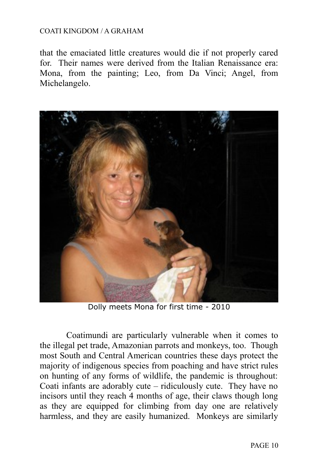that the emaciated little creatures would die if not properly cared for. Their names were derived from the Italian Renaissance era: Mona, from the painting; Leo, from Da Vinci; Angel, from Michelangelo.



Dolly meets Mona for first time - 2010

Coatimundi are particularly vulnerable when it comes to the illegal pet trade, Amazonian parrots and monkeys, too. Though most South and Central American countries these days protect the majority of indigenous species from poaching and have strict rules on hunting of any forms of wildlife, the pandemic is throughout: Coati infants are adorably cute – ridiculously cute. They have no incisors until they reach 4 months of age, their claws though long as they are equipped for climbing from day one are relatively harmless, and they are easily humanized. Monkeys are similarly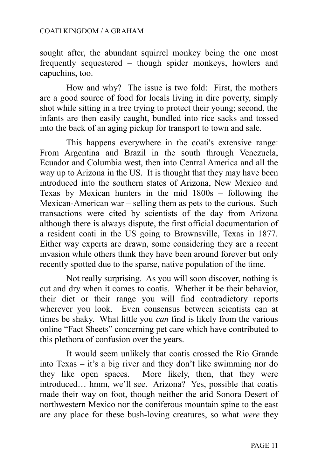sought after, the abundant squirrel monkey being the one most frequently sequestered – though spider monkeys, howlers and capuchins, too.

How and why? The issue is two fold: First, the mothers are a good source of food for locals living in dire poverty, simply shot while sitting in a tree trying to protect their young; second, the infants are then easily caught, bundled into rice sacks and tossed into the back of an aging pickup for transport to town and sale.

This happens everywhere in the coati's extensive range: From Argentina and Brazil in the south through Venezuela, Ecuador and Columbia west, then into Central America and all the way up to Arizona in the US. It is thought that they may have been introduced into the southern states of Arizona, New Mexico and Texas by Mexican hunters in the mid 1800s – following the Mexican-American war – selling them as pets to the curious. Such transactions were cited by scientists of the day from Arizona although there is always dispute, the first official documentation of a resident coati in the US going to Brownsville, Texas in 1877. Either way experts are drawn, some considering they are a recent invasion while others think they have been around forever but only recently spotted due to the sparse, native population of the time.

Not really surprising. As you will soon discover, nothing is cut and dry when it comes to coatis. Whether it be their behavior, their diet or their range you will find contradictory reports wherever you look. Even consensus between scientists can at times be shaky. What little you *can* find is likely from the various online "Fact Sheets" concerning pet care which have contributed to this plethora of confusion over the years.

It would seem unlikely that coatis crossed the Rio Grande into Texas – it's a big river and they don't like swimming nor do they like open spaces. More likely, then, that they were introduced… hmm, we'll see. Arizona? Yes, possible that coatis made their way on foot, though neither the arid Sonora Desert of northwestern Mexico nor the coniferous mountain spine to the east are any place for these bush-loving creatures, so what *were* they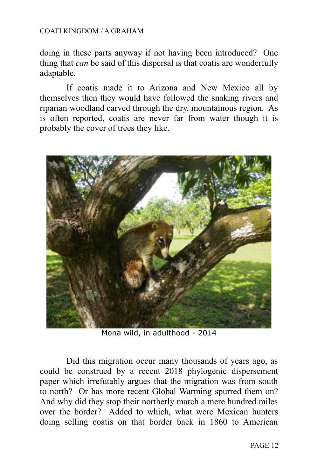doing in these parts anyway if not having been introduced? One thing that *can* be said of this dispersal is that coatis are wonderfully adaptable.

If coatis made it to Arizona and New Mexico all by themselves then they would have followed the snaking rivers and riparian woodland carved through the dry, mountainous region. As is often reported, coatis are never far from water though it is probably the cover of trees they like.



Mona wild, in adulthood - 2014

Did this migration occur many thousands of years ago, as could be construed by a recent 2018 phylogenic dispersement paper which irrefutably argues that the migration was from south to north? Or has more recent Global Warming spurred them on? And why did they stop their northerly march a mere hundred miles over the border? Added to which, what were Mexican hunters doing selling coatis on that border back in 1860 to American